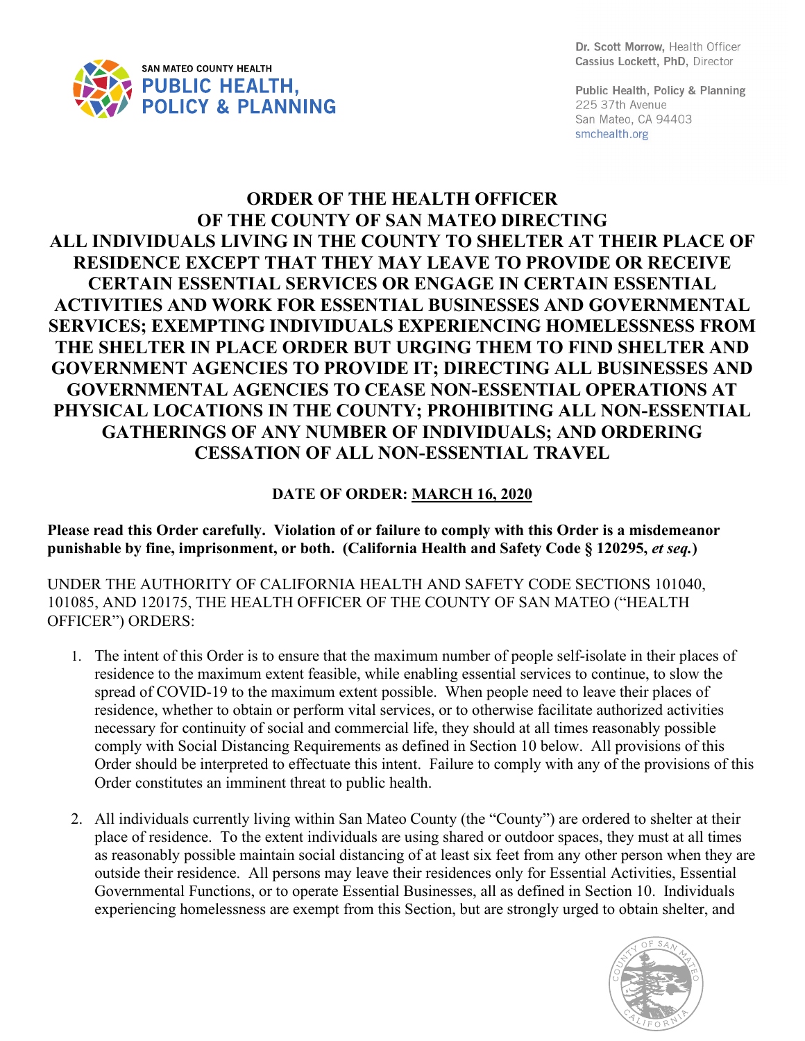

Dr. Scott Morrow. Health Officer Cassius Lockett, PhD, Director

Public Health, Policy & Planning 225 37th Avenue San Mateo, CA 94403 smchealth.org

## **ORDER OF THE HEALTH OFFICER OF THE COUNTY OF SAN MATEO DIRECTING ALL INDIVIDUALS LIVING IN THE COUNTY TO SHELTER AT THEIR PLACE OF RESIDENCE EXCEPT THAT THEY MAY LEAVE TO PROVIDE OR RECEIVE CERTAIN ESSENTIAL SERVICES OR ENGAGE IN CERTAIN ESSENTIAL ACTIVITIES AND WORK FOR ESSENTIAL BUSINESSES AND GOVERNMENTAL SERVICES; EXEMPTING INDIVIDUALS EXPERIENCING HOMELESSNESS FROM THE SHELTER IN PLACE ORDER BUT URGING THEM TO FIND SHELTER AND GOVERNMENT AGENCIES TO PROVIDE IT; DIRECTING ALL BUSINESSES AND GOVERNMENTAL AGENCIES TO CEASE NON-ESSENTIAL OPERATIONS AT PHYSICAL LOCATIONS IN THE COUNTY; PROHIBITING ALL NON-ESSENTIAL GATHERINGS OF ANY NUMBER OF INDIVIDUALS; AND ORDERING CESSATION OF ALL NON-ESSENTIAL TRAVEL**

## **DATE OF ORDER: MARCH 16, 2020**

**Please read this Order carefully. Violation of or failure to comply with this Order is a misdemeanor punishable by fine, imprisonment, or both. (California Health and Safety Code § 120295,** *et seq.***)**

UNDER THE AUTHORITY OF CALIFORNIA HEALTH AND SAFETY CODE SECTIONS 101040, 101085, AND 120175, THE HEALTH OFFICER OF THE COUNTY OF SAN MATEO ("HEALTH OFFICER") ORDERS:

- 1. The intent of this Order is to ensure that the maximum number of people self-isolate in their places of residence to the maximum extent feasible, while enabling essential services to continue, to slow the spread of COVID-19 to the maximum extent possible. When people need to leave their places of residence, whether to obtain or perform vital services, or to otherwise facilitate authorized activities necessary for continuity of social and commercial life, they should at all times reasonably possible comply with Social Distancing Requirements as defined in Section 10 below. All provisions of this Order should be interpreted to effectuate this intent. Failure to comply with any of the provisions of this Order constitutes an imminent threat to public health.
- 2. All individuals currently living within San Mateo County (the "County") are ordered to shelter at their place of residence. To the extent individuals are using shared or outdoor spaces, they must at all times as reasonably possible maintain social distancing of at least six feet from any other person when they are outside their residence. All persons may leave their residences only for Essential Activities, Essential Governmental Functions, or to operate Essential Businesses, all as defined in Section 10. Individuals experiencing homelessness are exempt from this Section, but are strongly urged to obtain shelter, and

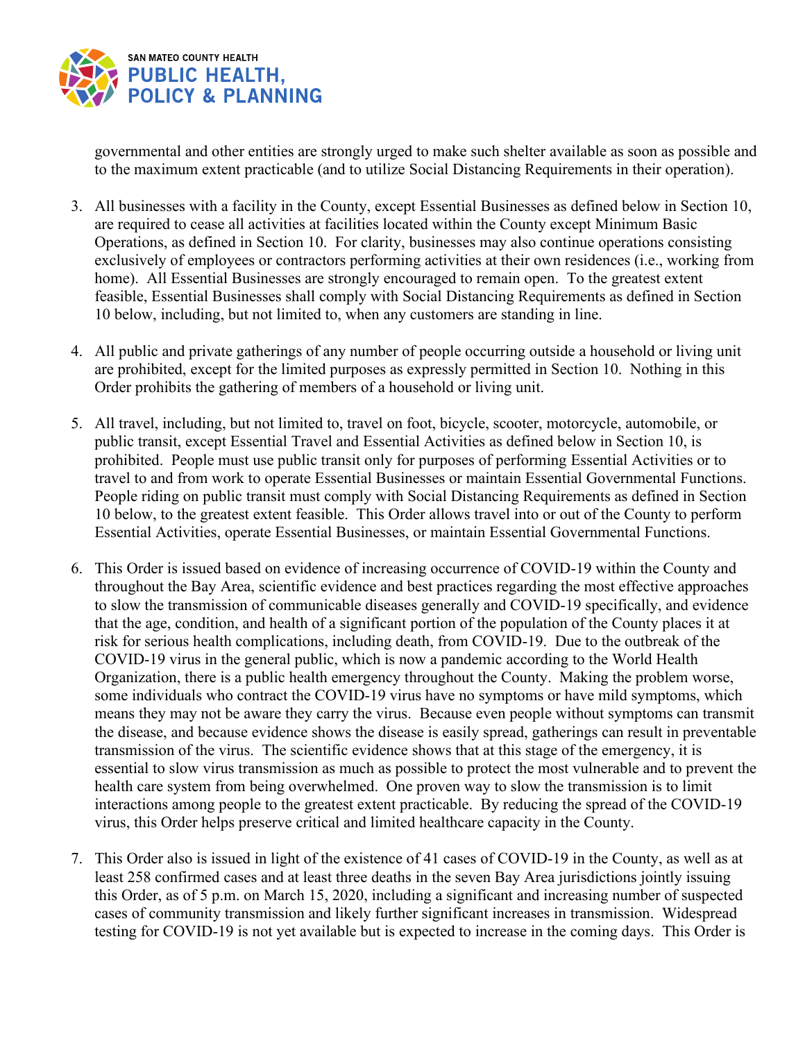

governmental and other entities are strongly urged to make such shelter available as soon as possible and to the maximum extent practicable (and to utilize Social Distancing Requirements in their operation).

- 3. All businesses with a facility in the County, except Essential Businesses as defined below in Section 10, are required to cease all activities at facilities located within the County except Minimum Basic Operations, as defined in Section 10. For clarity, businesses may also continue operations consisting exclusively of employees or contractors performing activities at their own residences (i.e., working from home). All Essential Businesses are strongly encouraged to remain open. To the greatest extent feasible, Essential Businesses shall comply with Social Distancing Requirements as defined in Section 10 below, including, but not limited to, when any customers are standing in line.
- 4. All public and private gatherings of any number of people occurring outside a household or living unit are prohibited, except for the limited purposes as expressly permitted in Section 10. Nothing in this Order prohibits the gathering of members of a household or living unit.
- 5. All travel, including, but not limited to, travel on foot, bicycle, scooter, motorcycle, automobile, or public transit, except Essential Travel and Essential Activities as defined below in Section 10, is prohibited. People must use public transit only for purposes of performing Essential Activities or to travel to and from work to operate Essential Businesses or maintain Essential Governmental Functions. People riding on public transit must comply with Social Distancing Requirements as defined in Section 10 below, to the greatest extent feasible. This Order allows travel into or out of the County to perform Essential Activities, operate Essential Businesses, or maintain Essential Governmental Functions.
- 6. This Order is issued based on evidence of increasing occurrence of COVID-19 within the County and throughout the Bay Area, scientific evidence and best practices regarding the most effective approaches to slow the transmission of communicable diseases generally and COVID-19 specifically, and evidence that the age, condition, and health of a significant portion of the population of the County places it at risk for serious health complications, including death, from COVID-19. Due to the outbreak of the COVID-19 virus in the general public, which is now a pandemic according to the World Health Organization, there is a public health emergency throughout the County. Making the problem worse, some individuals who contract the COVID-19 virus have no symptoms or have mild symptoms, which means they may not be aware they carry the virus. Because even people without symptoms can transmit the disease, and because evidence shows the disease is easily spread, gatherings can result in preventable transmission of the virus. The scientific evidence shows that at this stage of the emergency, it is essential to slow virus transmission as much as possible to protect the most vulnerable and to prevent the health care system from being overwhelmed. One proven way to slow the transmission is to limit interactions among people to the greatest extent practicable. By reducing the spread of the COVID-19 virus, this Order helps preserve critical and limited healthcare capacity in the County.
- 7. This Order also is issued in light of the existence of 41 cases of COVID-19 in the County, as well as at least 258 confirmed cases and at least three deaths in the seven Bay Area jurisdictions jointly issuing this Order, as of 5 p.m. on March 15, 2020, including a significant and increasing number of suspected cases of community transmission and likely further significant increases in transmission. Widespread testing for COVID-19 is not yet available but is expected to increase in the coming days. This Order is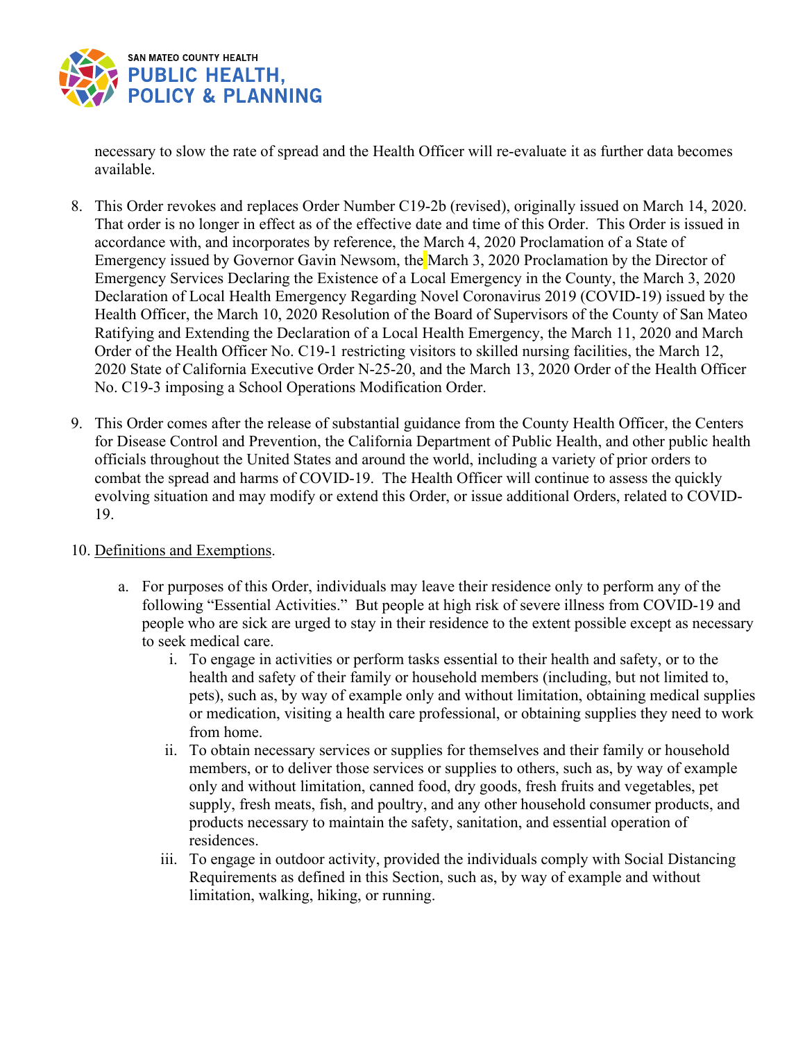

necessary to slow the rate of spread and the Health Officer will re-evaluate it as further data becomes available.

- 8. This Order revokes and replaces Order Number C19-2b (revised), originally issued on March 14, 2020. That order is no longer in effect as of the effective date and time of this Order. This Order is issued in accordance with, and incorporates by reference, the March 4, 2020 Proclamation of a State of Emergency issued by Governor Gavin Newsom, the March 3, 2020 Proclamation by the Director of Emergency Services Declaring the Existence of a Local Emergency in the County, the March 3, 2020 Declaration of Local Health Emergency Regarding Novel Coronavirus 2019 (COVID-19) issued by the Health Officer, the March 10, 2020 Resolution of the Board of Supervisors of the County of San Mateo Ratifying and Extending the Declaration of a Local Health Emergency, the March 11, 2020 and March Order of the Health Officer No. C19-1 restricting visitors to skilled nursing facilities, the March 12, 2020 State of California Executive Order N-25-20, and the March 13, 2020 Order of the Health Officer No. C19-3 imposing a School Operations Modification Order.
- 9. This Order comes after the release of substantial guidance from the County Health Officer, the Centers for Disease Control and Prevention, the California Department of Public Health, and other public health officials throughout the United States and around the world, including a variety of prior orders to combat the spread and harms of COVID-19. The Health Officer will continue to assess the quickly evolving situation and may modify or extend this Order, or issue additional Orders, related to COVID-19.

## 10. Definitions and Exemptions.

- a. For purposes of this Order, individuals may leave their residence only to perform any of the following "Essential Activities." But people at high risk of severe illness from COVID-19 and people who are sick are urged to stay in their residence to the extent possible except as necessary to seek medical care.
	- i. To engage in activities or perform tasks essential to their health and safety, or to the health and safety of their family or household members (including, but not limited to, pets), such as, by way of example only and without limitation, obtaining medical supplies or medication, visiting a health care professional, or obtaining supplies they need to work from home.
	- ii. To obtain necessary services or supplies for themselves and their family or household members, or to deliver those services or supplies to others, such as, by way of example only and without limitation, canned food, dry goods, fresh fruits and vegetables, pet supply, fresh meats, fish, and poultry, and any other household consumer products, and products necessary to maintain the safety, sanitation, and essential operation of residences.
	- iii. To engage in outdoor activity, provided the individuals comply with Social Distancing Requirements as defined in this Section, such as, by way of example and without limitation, walking, hiking, or running.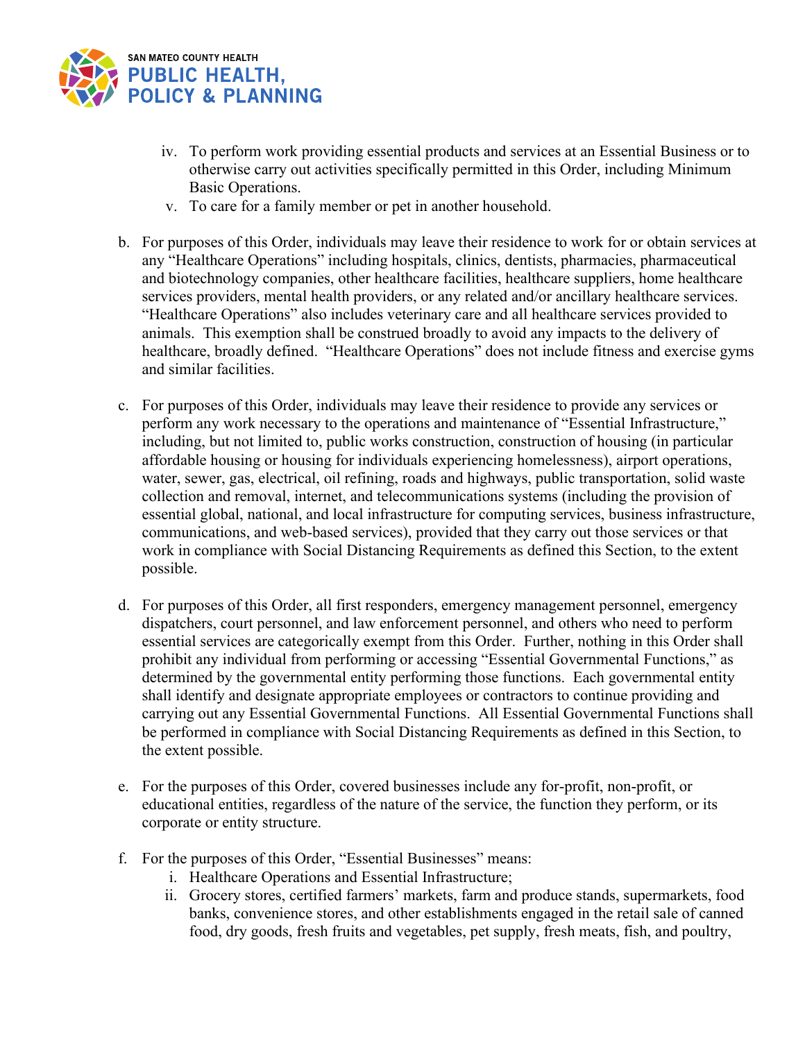

- iv. To perform work providing essential products and services at an Essential Business or to otherwise carry out activities specifically permitted in this Order, including Minimum Basic Operations.
- v. To care for a family member or pet in another household.
- b. For purposes of this Order, individuals may leave their residence to work for or obtain services at any "Healthcare Operations" including hospitals, clinics, dentists, pharmacies, pharmaceutical and biotechnology companies, other healthcare facilities, healthcare suppliers, home healthcare services providers, mental health providers, or any related and/or ancillary healthcare services. "Healthcare Operations" also includes veterinary care and all healthcare services provided to animals. This exemption shall be construed broadly to avoid any impacts to the delivery of healthcare, broadly defined. "Healthcare Operations" does not include fitness and exercise gyms and similar facilities.
- c. For purposes of this Order, individuals may leave their residence to provide any services or perform any work necessary to the operations and maintenance of "Essential Infrastructure," including, but not limited to, public works construction, construction of housing (in particular affordable housing or housing for individuals experiencing homelessness), airport operations, water, sewer, gas, electrical, oil refining, roads and highways, public transportation, solid waste collection and removal, internet, and telecommunications systems (including the provision of essential global, national, and local infrastructure for computing services, business infrastructure, communications, and web-based services), provided that they carry out those services or that work in compliance with Social Distancing Requirements as defined this Section, to the extent possible.
- d. For purposes of this Order, all first responders, emergency management personnel, emergency dispatchers, court personnel, and law enforcement personnel, and others who need to perform essential services are categorically exempt from this Order. Further, nothing in this Order shall prohibit any individual from performing or accessing "Essential Governmental Functions," as determined by the governmental entity performing those functions. Each governmental entity shall identify and designate appropriate employees or contractors to continue providing and carrying out any Essential Governmental Functions. All Essential Governmental Functions shall be performed in compliance with Social Distancing Requirements as defined in this Section, to the extent possible.
- e. For the purposes of this Order, covered businesses include any for-profit, non-profit, or educational entities, regardless of the nature of the service, the function they perform, or its corporate or entity structure.
- f. For the purposes of this Order, "Essential Businesses" means:
	- i. Healthcare Operations and Essential Infrastructure;
	- ii. Grocery stores, certified farmers' markets, farm and produce stands, supermarkets, food banks, convenience stores, and other establishments engaged in the retail sale of canned food, dry goods, fresh fruits and vegetables, pet supply, fresh meats, fish, and poultry,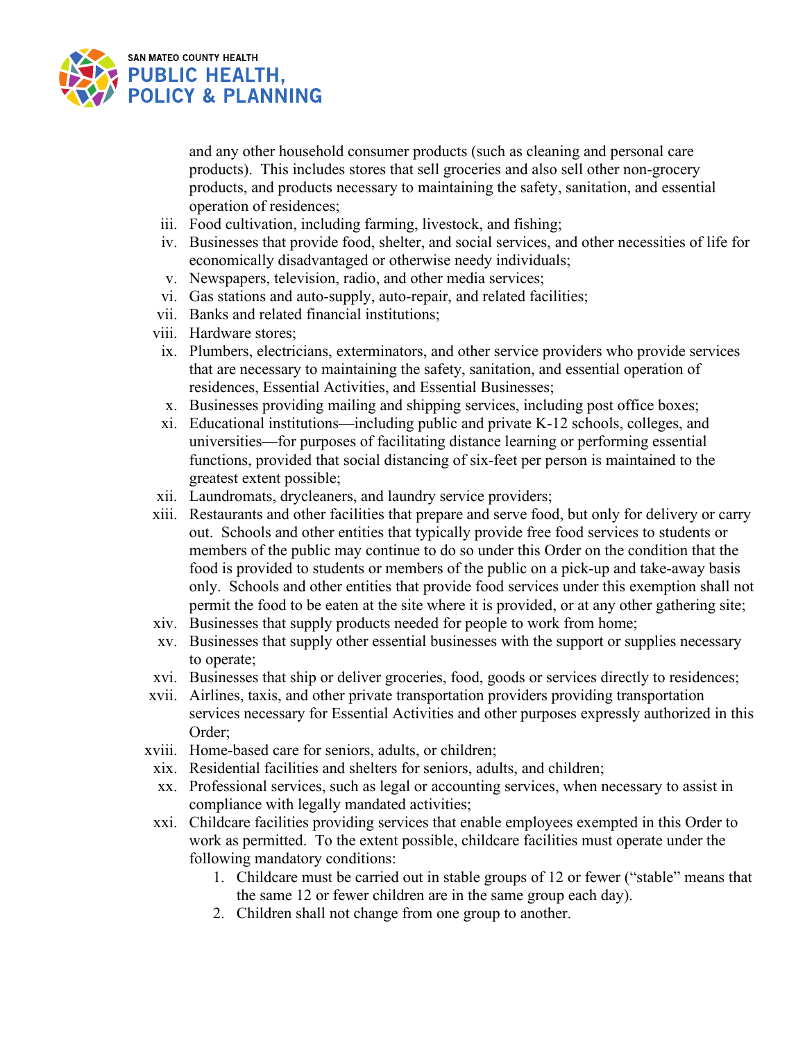

and any other household consumer products (such as cleaning and personal care products). This includes stores that sell groceries and also sell other non-grocery products, and products necessary to maintaining the safety, sanitation, and essential operation of residences;

- iii. Food cultivation, including farming, livestock, and fishing;
- iv. Businesses that provide food, shelter, and social services, and other necessities of life for economically disadvantaged or otherwise needy individuals;
- v. Newspapers, television, radio, and other media services;
- vi. Gas stations and auto-supply, auto-repair, and related facilities;
- vii. Banks and related financial institutions;
- viii. Hardware stores;
- ix. Plumbers, electricians, exterminators, and other service providers who provide services that are necessary to maintaining the safety, sanitation, and essential operation of residences, Essential Activities, and Essential Businesses;
- x. Businesses providing mailing and shipping services, including post office boxes;
- xi. Educational institutions—including public and private K-12 schools, colleges, and universities—for purposes of facilitating distance learning or performing essential functions, provided that social distancing of six-feet per person is maintained to the greatest extent possible;
- xii. Laundromats, drycleaners, and laundry service providers;
- xiii. Restaurants and other facilities that prepare and serve food, but only for delivery or carry out. Schools and other entities that typically provide free food services to students or members of the public may continue to do so under this Order on the condition that the food is provided to students or members of the public on a pick-up and take-away basis only. Schools and other entities that provide food services under this exemption shall not permit the food to be eaten at the site where it is provided, or at any other gathering site;
- xiv. Businesses that supply products needed for people to work from home;
- xv. Businesses that supply other essential businesses with the support or supplies necessary to operate;
- xvi. Businesses that ship or deliver groceries, food, goods or services directly to residences;
- xvii. Airlines, taxis, and other private transportation providers providing transportation services necessary for Essential Activities and other purposes expressly authorized in this Order;
- xviii. Home-based care for seniors, adults, or children;
- xix. Residential facilities and shelters for seniors, adults, and children;
- xx. Professional services, such as legal or accounting services, when necessary to assist in compliance with legally mandated activities;
- xxi. Childcare facilities providing services that enable employees exempted in this Order to work as permitted. To the extent possible, childcare facilities must operate under the following mandatory conditions:
	- 1. Childcare must be carried out in stable groups of 12 or fewer ("stable" means that the same 12 or fewer children are in the same group each day).
	- 2. Children shall not change from one group to another.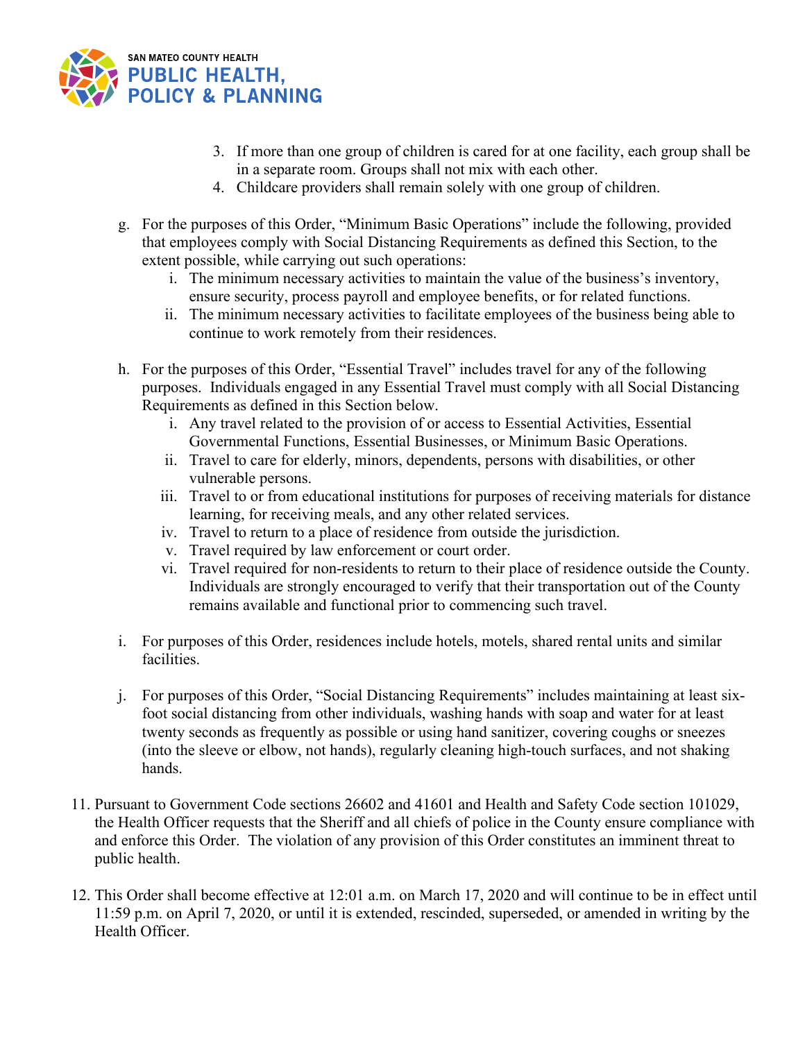

- 3. If more than one group of children is cared for at one facility, each group shall be in a separate room. Groups shall not mix with each other.
- 4. Childcare providers shall remain solely with one group of children.
- g. For the purposes of this Order, "Minimum Basic Operations" include the following, provided that employees comply with Social Distancing Requirements as defined this Section, to the extent possible, while carrying out such operations:
	- i. The minimum necessary activities to maintain the value of the business's inventory, ensure security, process payroll and employee benefits, or for related functions.
	- ii. The minimum necessary activities to facilitate employees of the business being able to continue to work remotely from their residences.
- h. For the purposes of this Order, "Essential Travel" includes travel for any of the following purposes. Individuals engaged in any Essential Travel must comply with all Social Distancing Requirements as defined in this Section below.
	- i. Any travel related to the provision of or access to Essential Activities, Essential Governmental Functions, Essential Businesses, or Minimum Basic Operations.
	- ii. Travel to care for elderly, minors, dependents, persons with disabilities, or other vulnerable persons.
	- iii. Travel to or from educational institutions for purposes of receiving materials for distance learning, for receiving meals, and any other related services.
	- iv. Travel to return to a place of residence from outside the jurisdiction.
	- v. Travel required by law enforcement or court order.
	- vi. Travel required for non-residents to return to their place of residence outside the County. Individuals are strongly encouraged to verify that their transportation out of the County remains available and functional prior to commencing such travel.
- i. For purposes of this Order, residences include hotels, motels, shared rental units and similar facilities.
- j. For purposes of this Order, "Social Distancing Requirements" includes maintaining at least sixfoot social distancing from other individuals, washing hands with soap and water for at least twenty seconds as frequently as possible or using hand sanitizer, covering coughs or sneezes (into the sleeve or elbow, not hands), regularly cleaning high-touch surfaces, and not shaking hands.
- 11. Pursuant to Government Code sections 26602 and 41601 and Health and Safety Code section 101029, the Health Officer requests that the Sheriff and all chiefs of police in the County ensure compliance with and enforce this Order. The violation of any provision of this Order constitutes an imminent threat to public health.
- 12. This Order shall become effective at 12:01 a.m. on March 17, 2020 and will continue to be in effect until 11:59 p.m. on April 7, 2020, or until it is extended, rescinded, superseded, or amended in writing by the Health Officer.